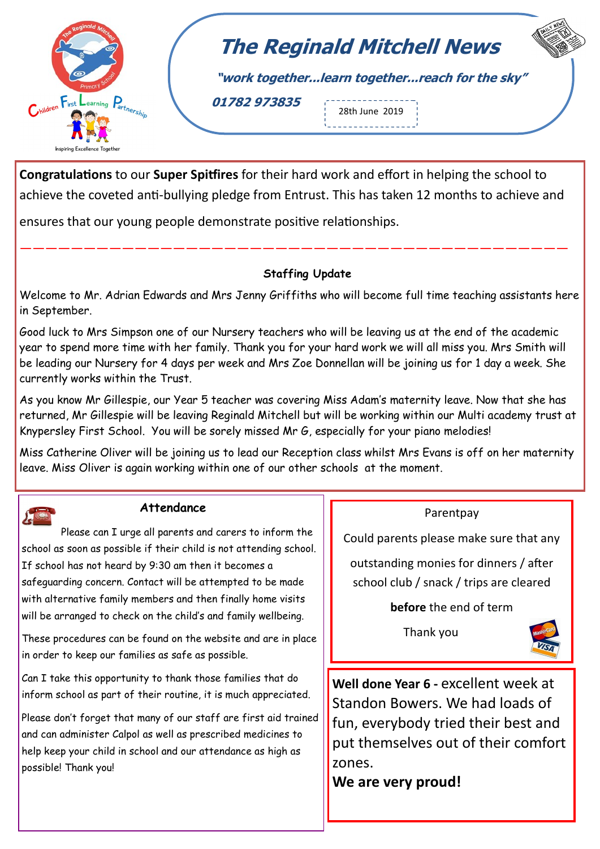

## **The Reginald Mitchell News**

**"work together...learn together...reach for the sky"**

**01782 973835**

28th June 2019 . . . . . . . . . . . .

**Congratulations** to our **Super Spitfires** for their hard work and effort in helping the school to achieve the coveted anti-bullying pledge from Entrust. This has taken 12 months to achieve and

———————————————————————————————————————————

ensures that our young people demonstrate positive relationships.

## **Staffing Update**

Welcome to Mr. Adrian Edwards and Mrs Jenny Griffiths who will become full time teaching assistants here in September.

Good luck to Mrs Simpson one of our Nursery teachers who will be leaving us at the end of the academic year to spend more time with her family. Thank you for your hard work we will all miss you. Mrs Smith will be leading our Nursery for 4 days per week and Mrs Zoe Donnellan will be joining us for 1 day a week. She currently works within the Trust.

As you know Mr Gillespie, our Year 5 teacher was covering Miss Adam's maternity leave. Now that she has returned, Mr Gillespie will be leaving Reginald Mitchell but will be working within our Multi academy trust at Knypersley First School. You will be sorely missed Mr G, especially for your piano melodies!

Miss Catherine Oliver will be joining us to lead our Reception class whilst Mrs Evans is off on her maternity leave. Miss Oliver is again working within one of our other schools at the moment.



## **Attendance**

Please can I urge all parents and carers to inform the school as soon as possible if their child is not attending school. If school has not heard by 9:30 am then it becomes a safeguarding concern. Contact will be attempted to be made with alternative family members and then finally home visits will be arranged to check on the child's and family wellbeing.

These procedures can be found on the website and are in place in order to keep our families as safe as possible.

Can I take this opportunity to thank those families that do inform school as part of their routine, it is much appreciated.

Please don't forget that many of our staff are first aid trained and can administer Calpol as well as prescribed medicines to help keep your child in school and our attendance as high as possible! Thank you!

## Parentpay

Could parents please make sure that any

outstanding monies for dinners / after school club / snack / trips are cleared

**before** the end of term

Thank you



**Well done Year 6 -** excellent week at Standon Bowers. We had loads of fun, everybody tried their best and put themselves out of their comfort zones.

**We are very proud!**